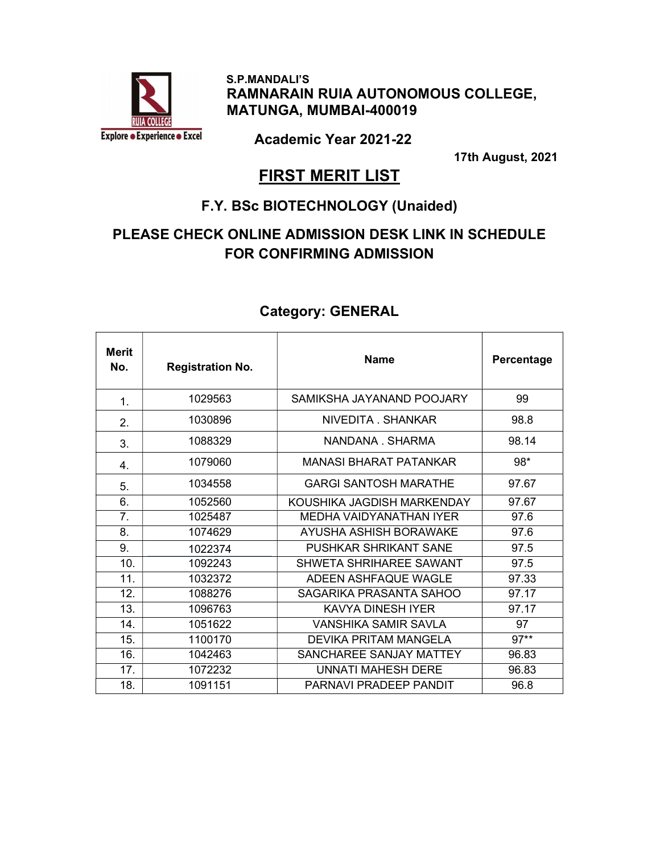

 S.P.MANDALI'S RAMNARAIN RUIA AUTONOMOUS COLLEGE, MATUNGA, MUMBAI-400019

Academic Year 2021-22

17th August, 2021

#### **FIRST MERIT LIST**

#### F.Y. BSc BIOTECHNOLOGY (Unaided)

#### PLEASE CHECK ONLINE ADMISSION DESK LINK IN SCHEDULE FOR CONFIRMING ADMISSION

| <b>Merit</b><br>No. | <b>Registration No.</b> | <b>Name</b>                   | Percentage |
|---------------------|-------------------------|-------------------------------|------------|
| 1.                  | 1029563                 | SAMIKSHA JAYANAND POOJARY     | 99         |
| 2.                  | 1030896                 | NIVEDITA SHANKAR              | 98.8       |
| 3.                  | 1088329                 | NANDANA SHARMA                | 98.14      |
| 4.                  | 1079060                 | <b>MANASI BHARAT PATANKAR</b> | $98*$      |
| 5.                  | 1034558                 | <b>GARGI SANTOSH MARATHE</b>  | 97.67      |
| 6.                  | 1052560                 | KOUSHIKA JAGDISH MARKENDAY    | 97.67      |
| 7.                  | 1025487                 | MEDHA VAIDYANATHAN IYER       | 97.6       |
| 8.                  | 1074629                 | AYUSHA ASHISH BORAWAKE        | 97.6       |
| 9.                  | 1022374                 | PUSHKAR SHRIKANT SANE         | 97.5       |
| 10.                 | 1092243                 | SHWETA SHRIHAREE SAWANT       | 97.5       |
| 11.                 | 1032372                 | ADEEN ASHFAQUE WAGLE          | 97.33      |
| 12.                 | 1088276                 | SAGARIKA PRASANTA SAHOO       | 97.17      |
| 13.                 | 1096763                 | KAVYA DINESH IYER             | 97.17      |
| 14.                 | 1051622                 | VANSHIKA SAMIR SAVLA          | 97         |
| 15.                 | 1100170                 | <b>DEVIKA PRITAM MANGELA</b>  | $97**$     |
| 16.                 | 1042463                 | SANCHAREE SANJAY MATTEY       | 96.83      |
| 17.                 | 1072232                 | UNNATI MAHESH DERE            | 96.83      |
| 18.                 | 1091151                 | PARNAVI PRADEEP PANDIT        | 96.8       |

#### Category: GENERAL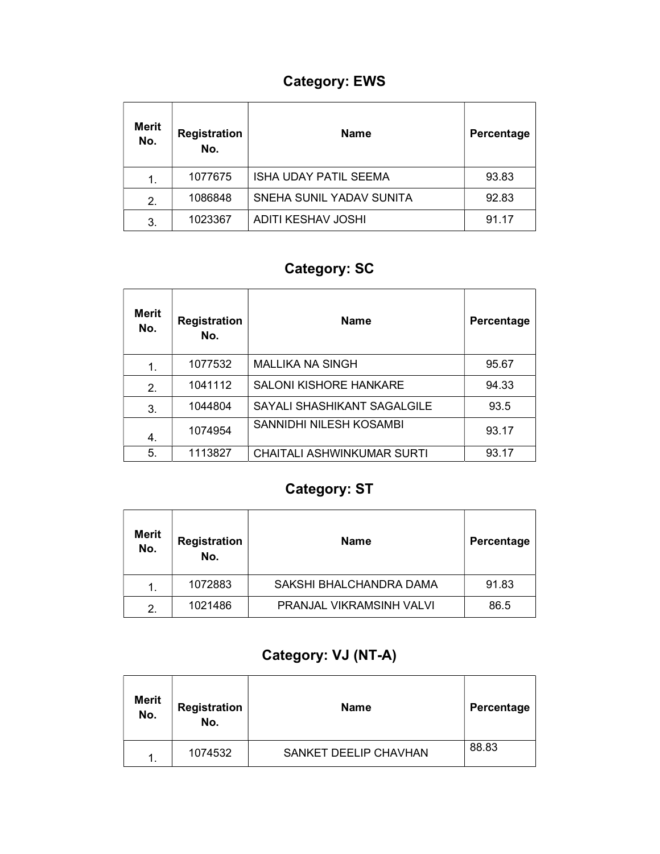## Category: EWS

| <b>Merit</b><br>No. | <b>Registration</b><br>No. | <b>Name</b>               | Percentage |
|---------------------|----------------------------|---------------------------|------------|
| 1.                  | 1077675                    | ISHA UDAY PATIL SEEMA     | 93.83      |
| 2.                  | 1086848                    | SNEHA SUNIL YADAV SUNITA  | 92.83      |
| 3.                  | 1023367                    | <b>ADITI KESHAV JOSHI</b> | 91.17      |

## Category: SC

| <b>Merit</b><br>No. | <b>Registration</b><br>No. | <b>Name</b>                       | Percentage |
|---------------------|----------------------------|-----------------------------------|------------|
| 1.                  | 1077532                    | <b>MALLIKA NA SINGH</b>           | 95.67      |
| 2.                  | 1041112                    | SALONI KISHORE HANKARE            | 94.33      |
| 3.                  | 1044804                    | SAYALI SHASHIKANT SAGALGILE       | 93.5       |
| 4.                  | 1074954                    | SANNIDHI NILESH KOSAMBI           | 93.17      |
| 5.                  | 1113827                    | <b>CHAITALI ASHWINKUMAR SURTI</b> | 93.17      |

## Category: ST

| <b>Merit</b><br>No. | <b>Registration</b><br>No. | Name                     | Percentage |
|---------------------|----------------------------|--------------------------|------------|
| 1.                  | 1072883                    | SAKSHI BHALCHANDRA DAMA  | 91.83      |
| 2.                  | 1021486                    | PRANJAL VIKRAMSINH VALVI | 86.5       |

## Category: VJ (NT-A)

| <b>Merit</b><br>No. | Registration<br>No. | <b>Name</b>           | Percentage |
|---------------------|---------------------|-----------------------|------------|
| -1                  | 1074532             | SANKET DEELIP CHAVHAN | 88.83      |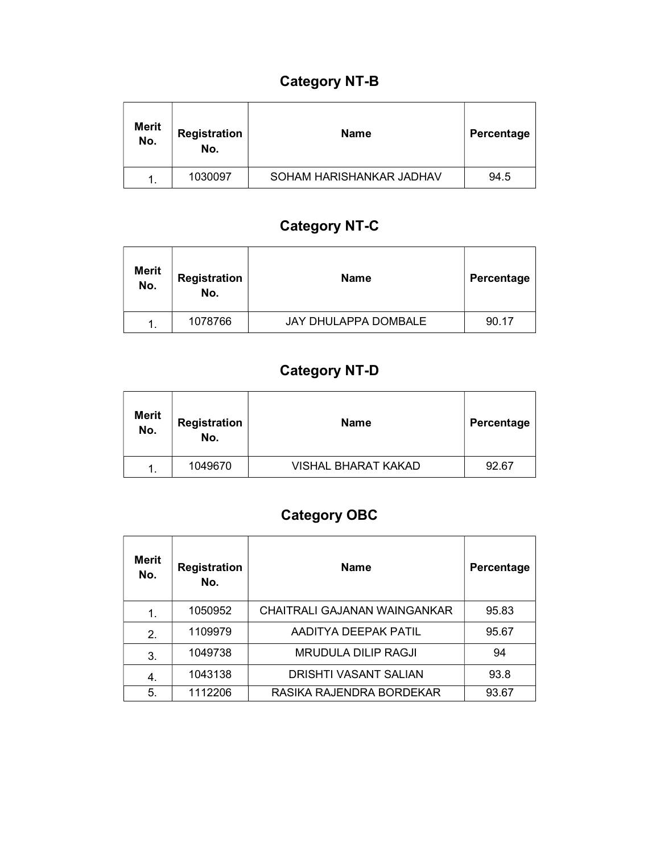## Category NT-B

| <b>Merit</b><br>No. | <b>Registration</b><br>No. | Name                     | Percentage |
|---------------------|----------------------------|--------------------------|------------|
|                     | 1030097                    | SOHAM HARISHANKAR JADHAV | 94.5       |

## Category NT-C

| <b>Merit</b><br>No. | <b>Registration</b><br>No. | <b>Name</b>          | Percentage |
|---------------------|----------------------------|----------------------|------------|
|                     | 1078766                    | JAY DHULAPPA DOMBALE | 90.17      |

## Category NT-D

| <b>Merit</b><br>No. | <b>Registration</b><br>No. | <b>Name</b>         | Percentage |
|---------------------|----------------------------|---------------------|------------|
|                     | 1049670                    | VISHAL BHARAT KAKAD | 92.67      |

# Category OBC

| Merit<br>No. | <b>Registration</b><br>No. | <b>Name</b>                  | Percentage |
|--------------|----------------------------|------------------------------|------------|
| 1.           | 1050952                    | CHAITRALI GAJANAN WAINGANKAR | 95.83      |
| 2.           | 1109979                    | AADITYA DEEPAK PATIL         | 95.67      |
| 3.           | 1049738                    | <b>MRUDULA DILIP RAGJI</b>   | 94         |
| 4.           | 1043138                    | DRISHTI VASANT SALIAN        | 93.8       |
| 5.           | 1112206                    | RASIKA RAJENDRA BORDEKAR     | 93.67      |